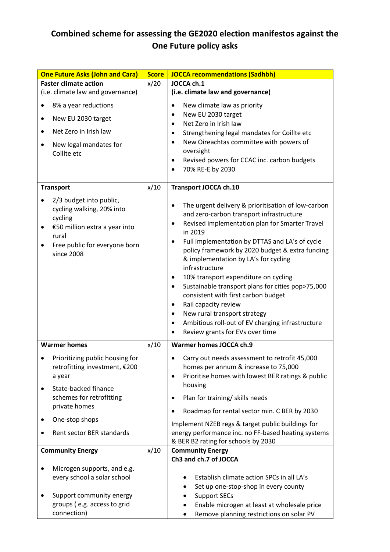## **Combined scheme for assessing the GE2020 election manifestos against the One Future policy asks**

| <b>One Future Asks (John and Cara)</b>                | <b>Score</b> | <b>JOCCA recommendations (Sadhbh)</b>                                                                    |
|-------------------------------------------------------|--------------|----------------------------------------------------------------------------------------------------------|
| <b>Faster climate action</b>                          | x/20         | JOCCA ch.1                                                                                               |
| (i.e. climate law and governance)                     |              | (i.e. climate law and governance)                                                                        |
| 8% a year reductions                                  |              | New climate law as priority<br>$\bullet$                                                                 |
| New EU 2030 target                                    |              | New EU 2030 target<br>٠<br>Net Zero in Irish law<br>$\bullet$                                            |
| Net Zero in Irish law<br>$\bullet$                    |              | Strengthening legal mandates for Coillte etc<br>$\bullet$                                                |
| New legal mandates for                                |              | New Oireachtas committee with powers of<br>$\bullet$                                                     |
| Coillte etc                                           |              | oversight<br>Revised powers for CCAC inc. carbon budgets<br>$\bullet$                                    |
|                                                       |              | 70% RE-E by 2030<br>$\bullet$                                                                            |
| <b>Transport</b>                                      | x/10         | <b>Transport JOCCA ch.10</b>                                                                             |
| 2/3 budget into public,                               |              |                                                                                                          |
| cycling walking, 20% into                             |              | The urgent delivery & prioritisation of low-carbon<br>٠<br>and zero-carbon transport infrastructure      |
| cycling<br>€50 million extra a year into              |              | Revised implementation plan for Smarter Travel<br>$\bullet$                                              |
| rural                                                 |              | in 2019<br>Full implementation by DTTAS and LA's of cycle<br>$\bullet$                                   |
| Free public for everyone born<br>since 2008           |              | policy framework by 2020 budget & extra funding                                                          |
|                                                       |              | & implementation by LA's for cycling<br>infrastructure                                                   |
|                                                       |              |                                                                                                          |
|                                                       |              | 10% transport expenditure on cycling<br>$\bullet$                                                        |
|                                                       |              | Sustainable transport plans for cities pop>75,000<br>$\bullet$<br>consistent with first carbon budget    |
|                                                       |              | Rail capacity review<br>$\bullet$                                                                        |
|                                                       |              | New rural transport strategy<br>$\bullet$                                                                |
|                                                       |              | Ambitious roll-out of EV charging infrastructure<br>$\bullet$                                            |
|                                                       |              | Review grants for EVs over time                                                                          |
| <b>Warmer homes</b>                                   | x/10         | Warmer homes JOCCA ch.9                                                                                  |
| Prioritizing public housing for                       |              | Carry out needs assessment to retrofit 45,000                                                            |
| retrofitting investment, €200                         |              | homes per annum & increase to 75,000                                                                     |
| a year                                                |              | Prioritise homes with lowest BER ratings & public<br>$\bullet$<br>housing                                |
| State-backed finance<br>٠<br>schemes for retrofitting |              | Plan for training/ skills needs<br>٠                                                                     |
| private homes                                         |              |                                                                                                          |
| One-stop shops<br>٠                                   |              | Roadmap for rental sector min. C BER by 2030<br>$\bullet$                                                |
| Rent sector BER standards                             |              | Implement NZEB regs & target public buildings for<br>energy performance inc. no FF-based heating systems |
|                                                       |              | & BER B2 rating for schools by 2030                                                                      |
| <b>Community Energy</b>                               | x/10         | <b>Community Energy</b>                                                                                  |
| Microgen supports, and e.g.                           |              | Ch3 and ch.7 of JOCCA                                                                                    |
| every school a solar school                           |              | Establish climate action SPCs in all LA's                                                                |
|                                                       |              | Set up one-stop-shop in every county                                                                     |
| Support community energy                              |              | <b>Support SECs</b>                                                                                      |
| groups (e.g. access to grid                           |              | Enable microgen at least at wholesale price                                                              |
| connection)                                           |              | Remove planning restrictions on solar PV<br>٠                                                            |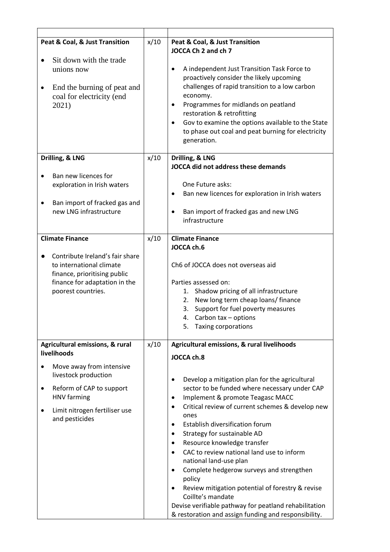| Peat & Coal, & Just Transition<br>Sit down with the trade                                                                                                | x/10 | Peat & Coal, & Just Transition<br>JOCCA Ch 2 and ch 7                                                                                                                                                                                                                                                                                                                                                                                                                                                                                                                                                                                                                                                                                |
|----------------------------------------------------------------------------------------------------------------------------------------------------------|------|--------------------------------------------------------------------------------------------------------------------------------------------------------------------------------------------------------------------------------------------------------------------------------------------------------------------------------------------------------------------------------------------------------------------------------------------------------------------------------------------------------------------------------------------------------------------------------------------------------------------------------------------------------------------------------------------------------------------------------------|
| unions now<br>End the burning of peat and<br>٠<br>coal for electricity (end<br>2021)<br>Drilling, & LNG                                                  | x/10 | A independent Just Transition Task Force to<br>$\bullet$<br>proactively consider the likely upcoming<br>challenges of rapid transition to a low carbon<br>economy.<br>Programmes for midlands on peatland<br>$\bullet$<br>restoration & retrofitting<br>Gov to examine the options available to the State<br>$\bullet$<br>to phase out coal and peat burning for electricity<br>generation.<br>Drilling, & LNG                                                                                                                                                                                                                                                                                                                       |
|                                                                                                                                                          |      | JOCCA did not address these demands                                                                                                                                                                                                                                                                                                                                                                                                                                                                                                                                                                                                                                                                                                  |
| Ban new licences for<br>exploration in Irish waters<br>Ban import of fracked gas and<br>new LNG infrastructure                                           |      | One Future asks:<br>Ban new licences for exploration in Irish waters<br>٠<br>Ban import of fracked gas and new LNG<br>$\bullet$<br>infrastructure                                                                                                                                                                                                                                                                                                                                                                                                                                                                                                                                                                                    |
| <b>Climate Finance</b>                                                                                                                                   | x/10 | <b>Climate Finance</b>                                                                                                                                                                                                                                                                                                                                                                                                                                                                                                                                                                                                                                                                                                               |
| Contribute Ireland's fair share<br>to international climate<br>finance, prioritising public<br>finance for adaptation in the<br>poorest countries.       |      | JOCCA ch.6<br>Ch6 of JOCCA does not overseas aid<br>Parties assessed on:<br>1. Shadow pricing of all infrastructure<br>New long term cheap loans/ finance<br>2.<br>Support for fuel poverty measures<br>3.<br>Carbon tax - options<br>4.<br>Taxing corporations<br>5.                                                                                                                                                                                                                                                                                                                                                                                                                                                                |
| Agricultural emissions, & rural                                                                                                                          | x/10 | Agricultural emissions, & rural livelihoods                                                                                                                                                                                                                                                                                                                                                                                                                                                                                                                                                                                                                                                                                          |
| livelihoods                                                                                                                                              |      | JOCCA ch.8                                                                                                                                                                                                                                                                                                                                                                                                                                                                                                                                                                                                                                                                                                                           |
| Move away from intensive<br>livestock production<br>Reform of CAP to support<br>٠<br>HNV farming<br>Limit nitrogen fertiliser use<br>٠<br>and pesticides |      | Develop a mitigation plan for the agricultural<br>٠<br>sector to be funded where necessary under CAP<br>Implement & promote Teagasc MACC<br>$\bullet$<br>Critical review of current schemes & develop new<br>$\bullet$<br>ones<br>Establish diversification forum<br>$\bullet$<br>Strategy for sustainable AD<br>$\bullet$<br>Resource knowledge transfer<br>$\bullet$<br>CAC to review national land use to inform<br>$\bullet$<br>national land-use plan<br>Complete hedgerow surveys and strengthen<br>$\bullet$<br>policy<br>Review mitigation potential of forestry & revise<br>$\bullet$<br>Coillte's mandate<br>Devise verifiable pathway for peatland rehabilitation<br>& restoration and assign funding and responsibility. |